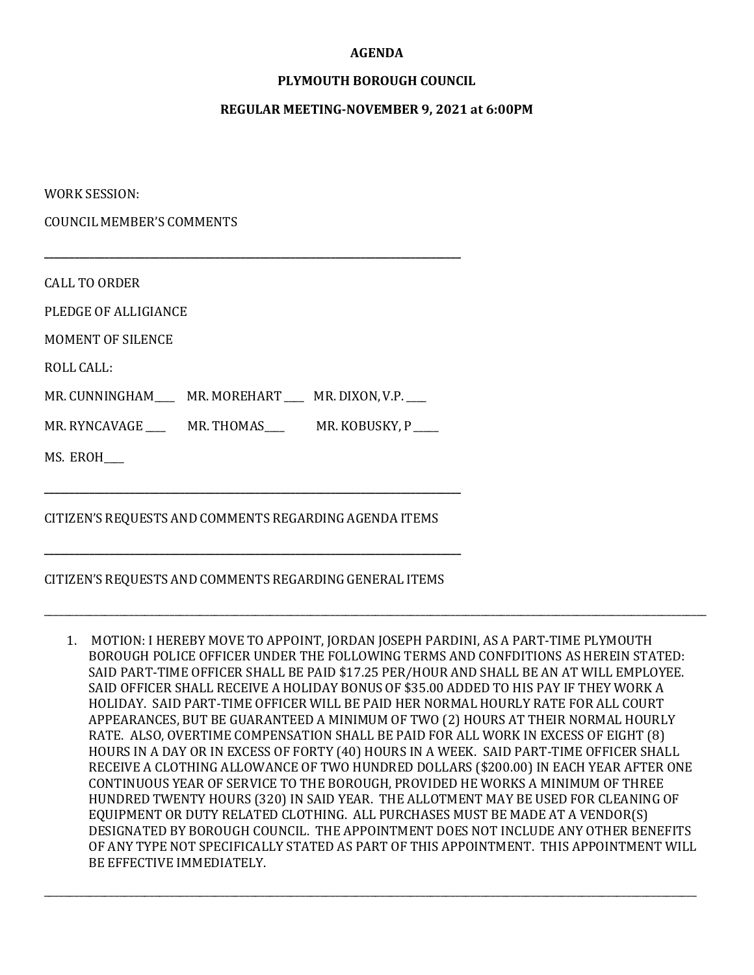#### **AGENDA**

### **PLYMOUTH BOROUGH COUNCIL**

#### **REGULAR MEETING-NOVEMBER 9, 2021 at 6:00PM**

WORK SESSION:

COUNCIL MEMBER'S COMMENTS

| <b>CALL TO ORDER</b>                                      |  |
|-----------------------------------------------------------|--|
| PLEDGE OF ALLIGIANCE                                      |  |
| MOMENT OF SILENCE                                         |  |
| ROLL CALL:                                                |  |
| MR. CUNNINGHAM MR. MOREHART MR. DIXON, V.P.               |  |
| MR. RYNCAVAGE ______ MR. THOMAS______ MR. KOBUSKY, P ____ |  |
| MS. EROH                                                  |  |
|                                                           |  |

### CITIZEN'S REQUESTS AND COMMENTS REGARDING GENERAL ITEMS

**\_\_\_\_\_\_\_\_\_\_\_\_\_\_\_\_\_\_\_\_\_\_\_\_\_\_\_\_\_\_\_\_\_\_\_\_\_\_\_\_\_\_\_\_\_\_\_\_\_\_\_\_\_\_\_\_\_\_\_\_\_\_\_\_\_\_\_\_\_\_\_\_\_\_\_\_\_\_\_\_\_\_\_**

1. MOTION: I HEREBY MOVE TO APPOINT, JORDAN JOSEPH PARDINI, AS A PART-TIME PLYMOUTH BOROUGH POLICE OFFICER UNDER THE FOLLOWING TERMS AND CONFDITIONS AS HEREIN STATED: SAID PART-TIME OFFICER SHALL BE PAID \$17.25 PER/HOUR AND SHALL BE AN AT WILL EMPLOYEE. SAID OFFICER SHALL RECEIVE A HOLIDAY BONUS OF \$35.00 ADDED TO HIS PAY IF THEY WORK A HOLIDAY. SAID PART-TIME OFFICER WILL BE PAID HER NORMAL HOURLY RATE FOR ALL COURT APPEARANCES, BUT BE GUARANTEED A MINIMUM OF TWO (2) HOURS AT THEIR NORMAL HOURLY RATE. ALSO, OVERTIME COMPENSATION SHALL BE PAID FOR ALL WORK IN EXCESS OF EIGHT (8) HOURS IN A DAY OR IN EXCESS OF FORTY (40) HOURS IN A WEEK. SAID PART-TIME OFFICER SHALL RECEIVE A CLOTHING ALLOWANCE OF TWO HUNDRED DOLLARS (\$200.00) IN EACH YEAR AFTER ONE CONTINUOUS YEAR OF SERVICE TO THE BOROUGH, PROVIDED HE WORKS A MINIMUM OF THREE HUNDRED TWENTY HOURS (320) IN SAID YEAR. THE ALLOTMENT MAY BE USED FOR CLEANING OF EQUIPMENT OR DUTY RELATED CLOTHING. ALL PURCHASES MUST BE MADE AT A VENDOR(S) DESIGNATED BY BOROUGH COUNCIL. THE APPOINTMENT DOES NOT INCLUDE ANY OTHER BENEFITS OF ANY TYPE NOT SPECIFICALLY STATED AS PART OF THIS APPOINTMENT. THIS APPOINTMENT WILL BE EFFECTIVE IMMEDIATELY.

\_\_\_\_\_\_\_\_\_\_\_\_\_\_\_\_\_\_\_\_\_\_\_\_\_\_\_\_\_\_\_\_\_\_\_\_\_\_\_\_\_\_\_\_\_\_\_\_\_\_\_\_\_\_\_\_\_\_\_\_\_\_\_\_\_\_\_\_\_\_\_\_\_\_\_\_\_\_\_\_\_\_\_\_\_\_\_\_\_\_\_\_\_\_\_\_\_\_\_\_\_\_\_\_\_\_\_\_\_\_\_\_\_\_\_\_\_\_\_\_\_\_\_\_\_\_\_\_\_\_

\_\_\_\_\_\_\_\_\_\_\_\_\_\_\_\_\_\_\_\_\_\_\_\_\_\_\_\_\_\_\_\_\_\_\_\_\_\_\_\_\_\_\_\_\_\_\_\_\_\_\_\_\_\_\_\_\_\_\_\_\_\_\_\_\_\_\_\_\_\_\_\_\_\_\_\_\_\_\_\_\_\_\_\_\_\_\_\_\_\_\_\_\_\_\_\_\_\_\_\_\_\_\_\_\_\_\_\_\_\_\_\_\_\_\_\_\_\_\_\_\_\_\_\_\_\_\_\_\_\_\_\_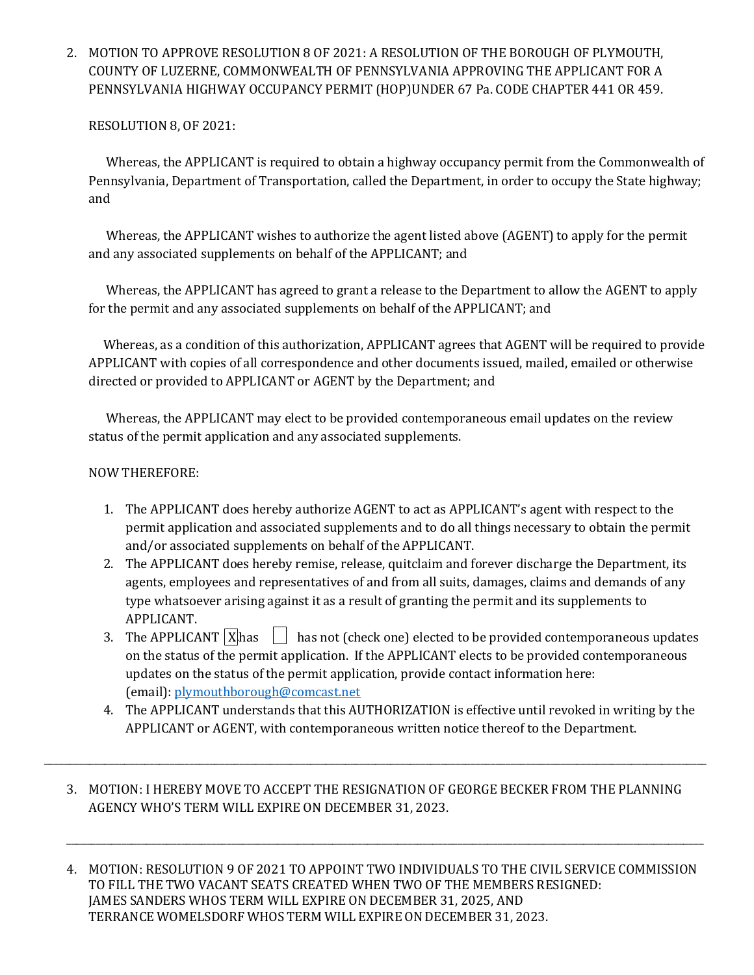2. MOTION TO APPROVE RESOLUTION 8 OF 2021: A RESOLUTION OF THE BOROUGH OF PLYMOUTH, COUNTY OF LUZERNE, COMMONWEALTH OF PENNSYLVANIA APPROVING THE APPLICANT FOR A PENNSYLVANIA HIGHWAY OCCUPANCY PERMIT (HOP)UNDER 67 Pa. CODE CHAPTER 441 OR 459.

## RESOLUTION 8, OF 2021:

 Whereas, the APPLICANT is required to obtain a highway occupancy permit from the Commonwealth of Pennsylvania, Department of Transportation, called the Department, in order to occupy the State highway; and

 Whereas, the APPLICANT wishes to authorize the agent listed above (AGENT) to apply for the permit and any associated supplements on behalf of the APPLICANT; and

 Whereas, the APPLICANT has agreed to grant a release to the Department to allow the AGENT to apply for the permit and any associated supplements on behalf of the APPLICANT; and

 Whereas, as a condition of this authorization, APPLICANT agrees that AGENT will be required to provide APPLICANT with copies of all correspondence and other documents issued, mailed, emailed or otherwise directed or provided to APPLICANT or AGENT by the Department; and

 Whereas, the APPLICANT may elect to be provided contemporaneous email updates on the review status of the permit application and any associated supplements.

## NOW THEREFORE:

- 1. The APPLICANT does hereby authorize AGENT to act as APPLICANT's agent with respect to the permit application and associated supplements and to do all things necessary to obtain the permit and/or associated supplements on behalf of the APPLICANT.
- 2. The APPLICANT does hereby remise, release, quitclaim and forever discharge the Department, its agents, employees and representatives of and from all suits, damages, claims and demands of any type whatsoever arising against it as a result of granting the permit and its supplements to APPLICANT.
- 3. The APPLICANT  $\lfloor x \rfloor$  has not (check one) elected to be provided contemporaneous updates on the status of the permit application. If the APPLICANT elects to be provided contemporaneous updates on the status of the permit application, provide contact information here: (email)[: plymouthborough@comcast.net](mailto:plymouthborough@comcast.net)
- 4. The APPLICANT understands that this AUTHORIZATION is effective until revoked in writing by the APPLICANT or AGENT, with contemporaneous written notice thereof to the Department.
- 3. MOTION: I HEREBY MOVE TO ACCEPT THE RESIGNATION OF GEORGE BECKER FROM THE PLANNING AGENCY WHO'S TERM WILL EXPIRE ON DECEMBER 31, 2023.

\_\_\_\_\_\_\_\_\_\_\_\_\_\_\_\_\_\_\_\_\_\_\_\_\_\_\_\_\_\_\_\_\_\_\_\_\_\_\_\_\_\_\_\_\_\_\_\_\_\_\_\_\_\_\_\_\_\_\_\_\_\_\_\_\_\_\_\_\_\_\_\_\_\_\_\_\_\_\_\_\_\_\_\_\_\_\_\_\_\_\_\_\_\_\_\_\_\_\_\_\_\_\_\_\_\_\_\_\_\_\_\_\_\_\_\_\_\_\_\_\_\_\_\_\_\_\_\_\_\_\_\_

4. MOTION: RESOLUTION 9 OF 2021 TO APPOINT TWO INDIVIDUALS TO THE CIVIL SERVICE COMMISSION TO FILL THE TWO VACANT SEATS CREATED WHEN TWO OF THE MEMBERS RESIGNED: JAMES SANDERS WHOS TERM WILL EXPIRE ON DECEMBER 31, 2025, AND TERRANCE WOMELSDORF WHOS TERM WILL EXPIRE ON DECEMBER 31, 2023.

\_\_\_\_\_\_\_\_\_\_\_\_\_\_\_\_\_\_\_\_\_\_\_\_\_\_\_\_\_\_\_\_\_\_\_\_\_\_\_\_\_\_\_\_\_\_\_\_\_\_\_\_\_\_\_\_\_\_\_\_\_\_\_\_\_\_\_\_\_\_\_\_\_\_\_\_\_\_\_\_\_\_\_\_\_\_\_\_\_\_\_\_\_\_\_\_\_\_\_\_\_\_\_\_\_\_\_\_\_\_\_\_\_\_\_\_\_\_\_\_\_\_\_\_\_\_\_